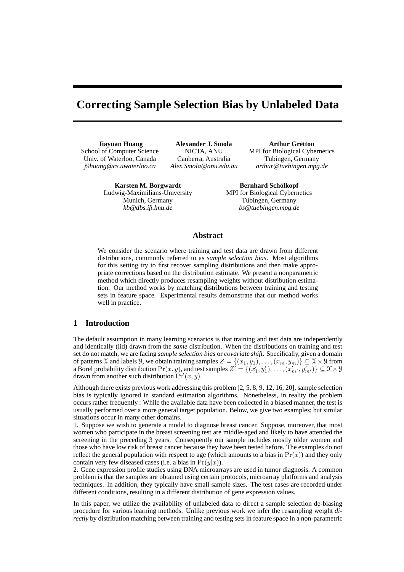# **Correcting Sample Selection Bias by Unlabeled Data**

**Jiayuan Huang** School of Computer Science Univ. of Waterloo, Canada *j9huang@cs.uwaterloo.ca*

**Alexander J. Smola** NICTA, ANU Canberra, Australia *Alex.Smola@anu.edu.au*

**Arthur Gretton** MPI for Biological Cybernetics Tübingen, Germany *arthur@tuebingen.mpg.de*

**Karsten M. Borgwardt** Ludwig-Maximilians-University Munich, Germany *kb@dbs.ifi.lmu.de*

**Bernhard Scholkopf ¨** MPI for Biological Cybernetics Tübingen, Germany *bs@tuebingen.mpg.de*

# **Abstract**

We consider the scenario where training and test data are drawn from different distributions, commonly referred to as *sample selection bias*. Most algorithms for this setting try to first recover sampling distributions and then make appropriate corrections based on the distribution estimate. We present a nonparametric method which directly produces resampling weights without distribution estimation. Our method works by matching distributions between training and testing sets in feature space. Experimental results demonstrate that our method works well in practice.

# **1 Introduction**

The default assumption in many learning scenarios is that training and test data are independently and identically (iid) drawn from the *same* distribution. When the distributions on training and test set do not match, we are facing *sample selection bias* or *covariate shift*. Specifically, given a domain of patterns X and labels *Y*, we obtain training samples  $Z = \{(x_1, y_1), \dots, (x_m, y_m)\} \subseteq X \times Y$  from a Borel probability distribution  $\Pr(x, y)$ , and test samples  $Z' = \{(x'_1, y'_1), \dots, (x'_{m'}, y'_{m'})\} \subseteq X \times Y$ drawn from another such distribution  $Pr'(x, y)$ .

Although there exists previous work addressing this problem [2, 5, 8, 9, 12, 16, 20], sample selection bias is typically ignored in standard estimation algorithms. Nonetheless, in reality the problem occurs rather frequently : While the available data have been collected in a biased manner, the test is usually performed over a more general target population. Below, we give two examples; but similar situations occur in many other domains.

1. Suppose we wish to generate a model to diagnose breast cancer. Suppose, moreover, that most women who participate in the breast screening test are middle-aged and likely to have attended the screening in the preceding 3 years. Consequently our sample includes mostly older women and those who have low risk of breast cancer because they have been tested before. The examples do not reflect the general population with respect to age (which amounts to a bias in  $Pr(x)$ ) and they only contain very few diseased cases (i.e. a bias in  $Pr(y|x)$ ).

2. Gene expression profile studies using DNA microarrays are used in tumor diagnosis. A common problem is that the samples are obtained using certain protocols, microarray platforms and analysis techniques. In addition, they typically have small sample sizes. The test cases are recorded under different conditions, resulting in a different distribution of gene expression values.

In this paper, we utilize the availability of unlabeled data to direct a sample selection de-biasing procedure for various learning methods. Unlike previous work we infer the resampling weight *directly* by distribution matching between training and testing sets in feature space in a non-parametric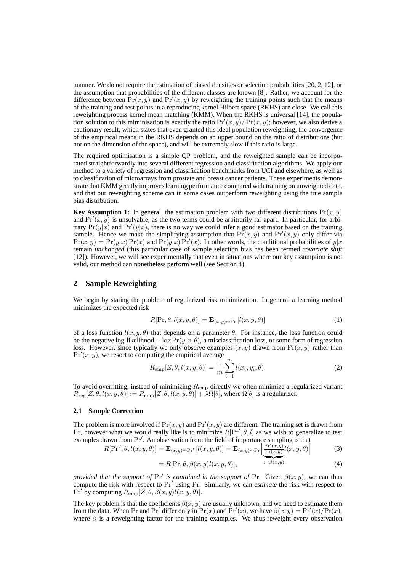manner. We do not require the estimation of biased densities or selection probabilities [20, 2, 12], or the assumption that probabilities of the different classes are known [8]. Rather, we account for the difference between  $Pr(x, y)$  and  $Pr'(x, y)$  by reweighting the training points such that the means of the training and test points in a reproducing kernel Hilbert space (RKHS) are close. We call this reweighting process kernel mean matching (KMM). When the RKHS is universal [14], the population solution to this miminisation is exactly the ratio  $Pr'(x, y) / Pr(x, y)$ ; however, we also derive a cautionary result, which states that even granted this ideal population reweighting, the convergence of the empirical means in the RKHS depends on an upper bound on the ratio of distributions (but not on the dimension of the space), and will be extremely slow if this ratio is large.

The required optimisation is a simple QP problem, and the reweighted sample can be incorporated straightforwardly into several different regression and classification algorithms. We apply our method to a variety of regression and classification benchmarks from UCI and elsewhere, as well as to classification of microarrays from prostate and breast cancer patients. These experiments demonstrate that KMM greatly improves learning performance compared with training on unweighted data, and that our reweighting scheme can in some cases outperform reweighting using the true sample bias distribution.

**Key Assumption 1:** In general, the estimation problem with two different distributions  $Pr(x, y)$ and  $Pr'(x, y)$  is unsolvable, as the two terms could be arbitrarily far apart. In particular, for arbitrary  $Pr(y|x)$  and  $Pr'(y|x)$ , there is no way we could infer a good estimator based on the training sample. Hence we make the simplifying assumption that  $Pr(x, y)$  and  $Pr'(x, y)$  only differ via  $Pr(x, y) = Pr(y|x) Pr(x)$  and  $Pr(y|x) Pr'(x)$ . In other words, the conditional probabilities of  $y|x$ remain *unchanged* (this particular case of sample selection bias has been termed *covariate shift* [12]). However, we will see experimentally that even in situations where our key assumption is not valid, our method can nonetheless perform well (see Section 4).

# **2 Sample Reweighting**

We begin by stating the problem of regularized risk minimization. In general a learning method minimizes the expected risk

$$
R[\Pr, \theta, l(x, y, \theta)] = \mathbf{E}_{(x, y) \sim \Pr}[l(x, y, \theta)] \tag{1}
$$

of a loss function  $l(x, y, \theta)$  that depends on a parameter  $\theta$ . For instance, the loss function could be the negative log-likelihood – log  $Pr(y|x, \theta)$ , a misclassification loss, or some form of regression loss. However, since typically we only observe examples  $(x, y)$  drawn from  $Pr(x, y)$  rather than  $Pr'(x, y)$ , we resort to computing the empirical average

$$
R_{\rm emp}[Z, \theta, l(x, y, \theta)] = \frac{1}{m} \sum_{i=1}^{m} l(x_i, y_i, \theta).
$$
 (2)

To avoid overfitting, instead of minimizing  $R_{\text{emp}}$  directly we often minimize a regularized variant  $R_{\text{reg}}[Z,\theta,l(x,y,\theta)]:=R_{\text{emp}}[Z,\theta,l(x,y,\theta)]+\lambda\Omega[\theta]$ , where  $\Omega[\theta]$  is a regularizer.

# **2.1 Sample Correction**

The problem is more involved if  $Pr(x, y)$  and  $Pr'(x, y)$  are different. The training set is drawn from Pr, however what we would really like is to minimize  $R[\Pr', \theta, l]$  as we wish to generalize to test examples drawn from Pr'. An observation from the field of importance sampling is that<br> $P[Pr' \land A I(x, y, A)] = \mathbf{E}_{\ell} \times \mathbf{E}_{\ell} \times [Pr'(x, y)I(x, y, A)]$ 

$$
R[\Pr', \theta, l(x, y, \theta)] = \mathbf{E}_{(x, y) \sim \Pr'}[l(x, y, \theta)] = \mathbf{E}_{(x, y) \sim \Pr'}\left[\frac{\Pr'(x, y)}{\Pr(x, y)}l(x, y, \theta)\right]
$$
(3)

$$
= R[\Pr, \theta, \beta(x, y)l(x, y, \theta)], \qquad \qquad = \beta(x, y) \tag{4}
$$

*provided that the support of*  $Pr'$  *is contained in the support of*  $Pr$ . Given  $\beta(x, y)$ , we can thus compute the risk with respect to Pr′ using Pr. Similarly, we can *estimate* the risk with respect to  $\Pr'$  by computing  $R_{\text{emp}}[Z, \theta, \beta(x, y)l(x, y, \theta)].$ 

The key problem is that the coefficients  $\beta(x, y)$  are usually unknown, and we need to estimate them from the data. When Pr and Pr' differ only in  $Pr(x)$  and  $Pr'(x)$ , we have  $\beta(x, y) = Pr'(x)/Pr(x)$ , where  $\beta$  is a reweighting factor for the training examples. We thus reweight every observation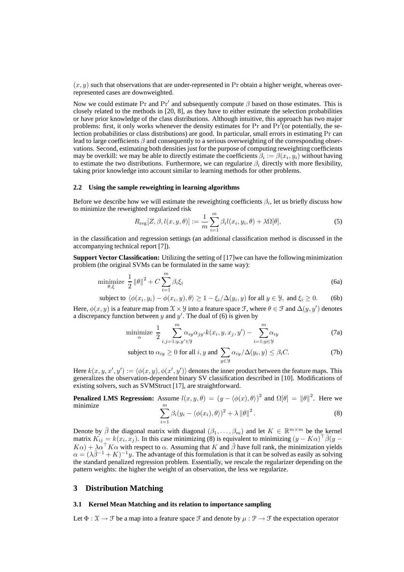$(x, y)$  such that observations that are under-represented in Pr obtain a higher weight, whereas overrepresented cases are downweighted.

Now we could estimate Pr and Pr' and subsequently compute  $\beta$  based on those estimates. This is closely related to the methods in [20, 8], as they have to either estimate the selection probabilities or have prior knowledge of the class distributions. Although intuitive, this approach has two major problems: first, it only works whenever the density estimates for Pr and Pr'(or potentially, the selection probabilities or class distributions) are good. In particular, small errors in estimating Pr can lead to large coefficients  $\beta$  and consequently to a serious overweighting of the corresponding observations. Second, estimating both densities just for the purpose of computing reweighting coefficients may be overkill: we may be able to directly estimate the coefficients  $\beta_i := \beta(x_i, y_i)$  without having to estimate the two distributions. Furthermore, we can regularize  $\beta_i$  directly with more flexibility, taking prior knowledge into account similar to learning methods for other problems.

## **2.2 Using the sample reweighting in learning algorithms**

Before we describe how we will estimate the reweighting coefficients  $\beta_i$ , let us briefly discuss how to minimize the reweighted regularized risk

$$
R_{\text{reg}}[Z, \beta, l(x, y, \theta)] := \frac{1}{m} \sum_{i=1}^{m} \beta_i l(x_i, y_i, \theta) + \lambda \Omega[\theta],
$$
\n(5)

in the classification and regression settings (an additional classification method is discussed in the accompanying technical report [7]).

**Support Vector Classification:** Utilizing the setting of [17]we can have the following minimization problem (the original SVMs can be formulated in the same way):

$$
\underset{\theta,\xi}{\text{minimize}} \frac{1}{2} \left\| \theta \right\|^2 + C \sum_{i=1}^m \beta_i \xi_i \tag{6a}
$$

subject to  $\langle \phi(x_i, y_i) - \phi(x_i, y), \theta \rangle \ge 1 - \xi_i/\Delta(y_i, y)$  for all  $y \in \mathcal{Y}$ , and  $\xi_i \ge 0$ . (6b)

Here,  $\phi(x, y)$  is a feature map from  $\mathcal{X} \times \mathcal{Y}$  into a feature space  $\mathcal{F}$ , where  $\theta \in \mathcal{F}$  and  $\Delta(y, y')$  denotes a discrepancy function between y and  $y'$ . The dual of (6) is given by

$$
\underset{\alpha}{\text{minimize}} \frac{1}{2} \sum_{i,j=1;y,y'\in\mathcal{Y}}^{m} \alpha_{iy} \alpha_{jy'} k(x_i, y, x_j, y') - \sum_{i=1;y\in\mathcal{Y}}^{m} \alpha_{iy} \tag{7a}
$$

subject to 
$$
\alpha_{iy} \ge 0
$$
 for all  $i, y$  and  $\sum_{y \in \mathcal{Y}} \alpha_{iy} / \Delta(y_i, y) \le \beta_i C$ . (7b)

Here  $k(x, y, x', y') := \langle \phi(x, y), \phi(x', y') \rangle$  denotes the inner product between the feature maps. This generalizes the observation-dependent binary SV classification described in [10]. Modifications of existing solvers, such as SVMStruct [17], are straightforward.

**Penalized LMS Regression:** Assume  $l(x, y, \theta) = (y - \langle \phi(x), \theta \rangle)^2$  and  $\Omega[\theta] = ||\theta||^2$ . Here we minimize  $\sum_{i=1}^{m}$  $\sum_{i=1} \beta_i (y_i - \langle \phi(x_i), \theta \rangle)^2 + \lambda \|\theta\|^2$ .  $(8)$ 

Denote by 
$$
\bar{\beta}
$$
 the diagonal matrix with diagonal  $(\beta_1, ..., \beta_m)$  and let  $K \in \mathbb{R}^{m \times m}$  be the kernel  
matrix  $K_{ij} = k(x_i, x_j)$ . In this case minimizing (8) is equivalent to minimizing  $(y - K\alpha)^{\top} \bar{\beta}(y - K\alpha) + \lambda \alpha^{\top} K\alpha$  with respect to  $\alpha$ . Assuming that K and  $\bar{\beta}$  have full rank, the minimization yields  
 $\alpha = (\lambda \bar{\beta}^{-1} + K)^{-1}y$ . The advantage of this formulation is that it can be solved as easily as solving  
the standard penalized regression problem. Essentially, we rescale the regularizer depending on the  
pattern weights: the higher the weight of an observation, the less we regularize.

# **3 Distribution Matching**

#### **3.1 Kernel Mean Matching and its relation to importance sampling**

Let  $\Phi: \mathcal{X} \to \mathcal{F}$  be a map into a feature space  $\mathcal{F}$  and denote by  $\mu: \mathcal{P} \to \mathcal{F}$  the expectation operator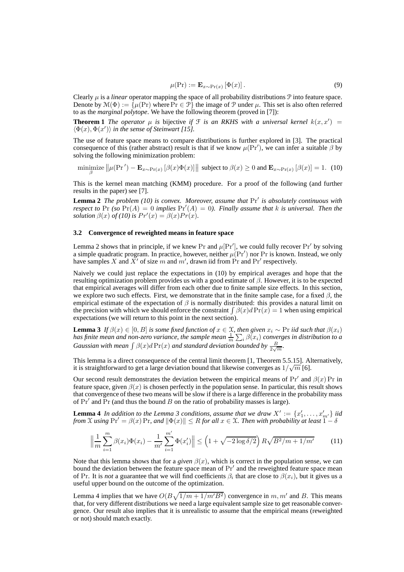$$
\mu(\Pr) := \mathbf{E}_{x \sim \Pr(x)} \left[ \Phi(x) \right]. \tag{9}
$$

Clearly  $\mu$  is a *linear* operator mapping the space of all probability distributions  $\mathcal{P}$  into feature space. Denote by  $\mathcal{M}(\Phi) := \{\mu(\Pr) \text{ where } \Pr \in \mathcal{P}\}\$  the image of  $\mathcal P$  under  $\mu$ . This set is also often referred to as the *marginal polytope*. We have the following theorem (proved in [7]):

**Theorem 1** *The operator*  $\mu$  *is* bijective *if*  $\mathcal{F}$  *is an RKHS with a universal kernel*  $k(x, x') =$  $\langle \Phi(x), \Phi(x') \rangle$  in the sense of Steinwart [15].

The use of feature space means to compare distributions is further explored in [3]. The practical consequence of this (rather abstract) result is that if we know  $\mu(\Pr')$ , we can infer a suitable  $\beta$  by solving the following minimization problem:

$$
\underset{\beta}{\text{minimize}} \left\| \mu(\Pr') - \mathbf{E}_{x \sim \Pr(x)} \left[ \beta(x) \Phi(x) \right] \right\| \text{ subject to } \beta(x) \ge 0 \text{ and } \mathbf{E}_{x \sim \Pr(x)} \left[ \beta(x) \right] = 1. \tag{10}
$$

This is the kernel mean matching (KMM) procedure. For a proof of the following (and further results in the paper) see [7].

**Lemma 2** *The problem (10) is convex. Moreover, assume that* Pr′ *is absolutely continuous with respect to* Pr *(so*  $Pr(A) = 0$  *implies*  $Pr'(A) = 0$ *). Finally assume that* k *is universal. Then the solution*  $\beta(x)$  *of* (10) is  $Pr'(x) = \beta(x)Pr(x)$ .

## **3.2 Convergence of reweighted means in feature space**

Lemma 2 shows that in principle, if we knew  $Pr$  and  $\mu[Pr']$ , we could fully recover  $Pr'$  by solving a simple quadratic program. In practice, however, neither  $\mu(\Pr')$  nor Pr is known. Instead, we only have samples X and X' of size m and  $m'$ , drawn iid from Pr and Pr' respectively.

Naively we could just replace the expectations in (10) by empirical averages and hope that the resulting optimization problem provides us with a good estimate of  $\beta$ . However, it is to be expected that empirical averages will differ from each other due to finite sample size effects. In this section, we explore two such effects. First, we demonstrate that in the finite sample case, for a fixed  $\beta$ , the empirical estimate of the expectation of  $\beta$  is normally distributed: this provides a natural limit on the precision with which we should enforce the constraint  $\int \beta(x) dPr(x) = 1$  when using empirical expectations (we will return to this point in the next section).

**Lemma 3** *If*  $\beta(x) \in [0, B]$  *is some fixed function of*  $x \in \mathcal{X}$ *, then given*  $x_i \sim \text{Pr}$  *iid such that*  $\beta(x_i)$ has finite mean and non-zero variance, the sample mean  $\frac{1}{m}\sum_i \beta(x_i)$  converges in distribution to a *Gaussian with mean*  $\int \beta(x) d \Pr(x)$  *and standard deviation bounded by*  $\frac{B}{2\sqrt{m}}$ *.* 

This lemma is a direct consequence of the central limit theorem [1, Theorem 5.5.15]. Alternatively, it is straightforward to get a large deviation bound that likewise converges as  $1/\sqrt{m}$  [6].

Our second result demonstrates the deviation between the empirical means of  $Pr'$  and  $\beta(x)$  Pr in feature space, given  $\beta(x)$  is chosen perfectly in the population sense. In particular, this result shows that convergence of these two means will be slow if there is a large difference in the probability mass of  $Pr'$  and  $Pr$  (and thus the bound  $B$  on the ratio of probability masses is large).

**Lemma 4** *In addition to the Lemma 3 conditions, assume that we draw*  $X' := \{x'_1, \ldots, x'_{m'}\}$  *iid from*  $\mathfrak X$  *using*  $\Pr' = \beta(x) \Pr$ *, and*  $\|\Phi(x)\| \leq R$  *for all*  $x \in \mathfrak X$ *. Then with probability at least*  $1 - \delta$ 

$$
\left\| \frac{1}{m} \sum_{i=1}^{m} \beta(x_i) \Phi(x_i) - \frac{1}{m'} \sum_{i=1}^{m'} \Phi(x'_i) \right\| \le \left( 1 + \sqrt{-2 \log \delta/2} \right) R \sqrt{B^2/m + 1/m'} \tag{11}
$$

Note that this lemma shows that for a *given*  $\beta(x)$ , which is correct in the population sense, we can bound the deviation between the feature space mean of  $Pr'$  and the reweighted feature space mean of Pr. It is *not* a guarantee that we will find coefficients  $\beta_i$  that are close to  $\beta(x_i)$ , but it gives us a useful upper bound on the outcome of the optimization.

Lemma 4 implies that we have  $O(B\sqrt{1/m+1/m' B^2})$  convergence in m, m' and B. This means that, for very different distributions we need a large equivalent sample size to get reasonable convergence. Our result also implies that it is unrealistic to assume that the empirical means (reweighted or not) should match exactly.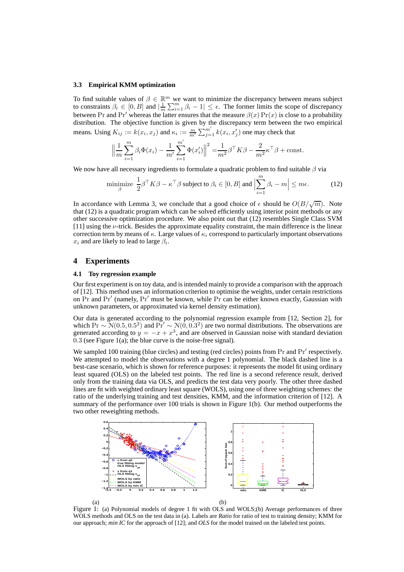#### **3.3 Empirical KMM optimization**

To find suitable values of  $\beta \in \mathbb{R}^m$  we want to minimize the discrepancy between means subject to constraints  $\beta_i \in [0, B]$  and  $\left|\frac{1}{m}\sum_{i=1}^m \beta_i - 1\right| \leq \epsilon$ . The former limits the scope of discrepancy between Pr and Pr' whereas the latter ensures that the measure  $\beta(x)$  Pr(x) is close to a probability distribution. The objective function is given by the discrepancy term between the two empirical means. Using  $K_{ij} := k(x_i, x_j)$  and  $\kappa_i := \frac{m}{m'} \sum_{j=1}^{m'} k(x_i, x'_j)$  one may check that

$$
\left\| \frac{1}{m} \sum_{i=1}^{m} \beta_i \Phi(x_i) - \frac{1}{m'} \sum_{i=1}^{m'} \Phi(x'_i) \right\|^2 = \frac{1}{m^2} \beta^{\top} K \beta - \frac{2}{m^2} \kappa^{\top} \beta + \text{const.}
$$

We now have all necessary ingredients to formulate a quadratic problem to find suitable  $\beta$  via

minimize 
$$
\frac{1}{2}\beta^{\top}K\beta - \kappa^{\top}\beta
$$
 subject to  $\beta_i \in [0, B]$  and  $\left|\sum_{i=1}^{m} \beta_i - m\right| \leq m\epsilon$ . (12)

In accordance with Lemma 3, we conclude that a good choice of  $\epsilon$  should be  $O(B/\sqrt{m})$ . Note that (12) is a quadratic program which can be solved efficiently using interior point methods or any other successive optimization procedure. We also point out that (12) resembles Single Class SVM [11] using the ν-trick. Besides the approximate equality constraint, the main difference is the linear correction term by means of  $\kappa$ . Large values of  $\kappa_i$  correspond to particularly important observations  $x_i$  and are likely to lead to large  $\beta_i$ .

# **4 Experiments**

# **4.1 Toy regression example**

Our first experiment is on toy data, and is intended mainly to provide a comparison with the approach of [12]. This method uses an information criterion to optimise the weights, under certain restrictions on Pr and Pr′ (namely, Pr′ must be known, while Pr can be either known exactly, Gaussian with unknown parameters, or approximated via kernel density estimation).

Our data is generated according to the polynomial regression example from [12, Section 2], for which Pr  $\sim N(0.5, 0.5^2)$  and Pr′  $\sim N(0, 0.3^2)$  are two normal distributions. The observations are generated according to  $y = -x + x^3$ , and are observed in Gaussian noise with standard deviation  $0.3$  (see Figure 1(a); the blue curve is the noise-free signal).

We sampled 100 training (blue circles) and testing (red circles) points from  $Pr$  and  $Pr'$  respectively. We attempted to model the observations with a degree 1 polynomial. The black dashed line is a best-case scenario, which is shown for reference purposes: it represents the model fit using ordinary least squared (OLS) on the labeled test points. The red line is a second reference result, derived only from the training data via OLS, and predicts the test data very poorly. The other three dashed lines are fit with weighted ordinary least square (WOLS), using one of three weighting schemes: the ratio of the underlying training and test densities, KMM, and the information criterion of [12]. A summary of the performance over 100 trials is shown in Figure 1(b). Our method outperforms the two other reweighting methods.



Figure 1: (a) Polynomial models of degree 1 fit with OLS and WOLS;(b) Average performances of three WOLS methods and OLS on the test data in (a). Labels are *Ratio* for ratio of test to training density; KMM for our approach; *min IC* for the approach of [12]; and *OLS* for the model trained on the labeled test points.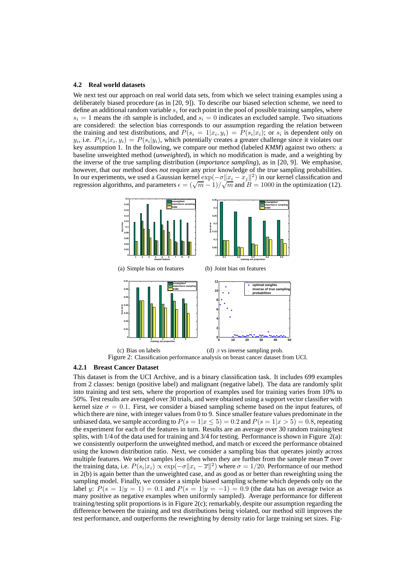#### **4.2 Real world datasets**

We next test our approach on real world data sets, from which we select training examples using a deliberately biased procedure (as in [20, 9]). To describe our biased selection scheme, we need to define an additional random variable  $s_i$  for each point in the pool of possible training samples, where  $s_i = 1$  means the *i*th sample is included, and  $s_i = 0$  indicates an excluded sample. Two situations are considered: the selection bias corresponds to our assumption regarding the relation between the training and test distributions, and  $P(s_i = 1 | x_i, y_i) = P(s_i | x_i)$ ; or  $s_i$  is dependent only on  $y_i$ , i.e.  $P(s_i|x_i, y_i) = P(s_i|y_i)$ , which potentially creates a greater challenge since it violates our key assumption 1. In the following, we compare our method (labeled *KMM*) against two others: a baseline unweighted method (*unweighted*), in which no modification is made, and a weighting by the inverse of the true sampling distribution (*importance sampling*), as in [20, 9]. We emphasise, however, that our method does *not* require any prior knowledge of the true sampling probabilities. In our experiments, we used a Gaussian kernel  $\exp(-\sigma ||x_i - x_j||^2)$  in our kernel classification and regression algorithms, and parameters  $\epsilon = (\sqrt{m} - 1)/\sqrt{m}$  and  $B = 1000$  in the optimization (12).



Figure 2: Classification performance analysis on breast cancer dataset from UCI.

# **4.2.1 Breast Cancer Dataset**

This dataset is from the UCI Archive, and is a binary classification task. It includes 699 examples from 2 classes: benign (positive label) and malignant (negative label). The data are randomly split into training and test sets, where the proportion of examples used for training varies from 10% to 50%. Test results are averaged over 30 trials, and were obtained using a support vector classifier with kernel size  $\sigma = 0.1$ . First, we consider a biased sampling scheme based on the input features, of which there are nine, with integer values from 0 to 9. Since smaller feature values predominate in the unbiased data, we sample according to  $P(s = 1|x \le 5) = 0.2$  and  $P(s = 1|x > 5) = 0.8$ , repeating the experiment for each of the features in turn. Results are an average over 30 random training/test splits, with  $1/4$  of the data used for training and  $3/4$  for testing. Performance is shown in Figure  $2(a)$ : we consistently outperform the unweighted method, and match or exceed the performance obtained using the known distribution ratio. Next, we consider a sampling bias that operates jointly across multiple features. We select samples less often when they are further from the sample mean  $\bar{x}$  over the training data, i.e.  $P(s_i|x_i) \propto \exp(-\sigma ||x_i - \overline{x}||^2)$  where  $\sigma = 1/20$ . Performance of our method in 2(b) is again better than the unweighted case, and as good as or better than reweighting using the sampling model. Finally, we consider a simple biased sampling scheme which depends only on the label y:  $P(s = 1|y = 1) = 0.1$  and  $P(s = 1|y = -1) = 0.9$  (the data has on average twice as many positive as negative examples when uniformly sampled). Average performance for different training/testing split proportions is in Figure 2(c); remarkably, despite our assumption regarding the difference between the training and test distributions being violated, our method still improves the test performance, and outperforms the reweighting by density ratio for large training set sizes. Fig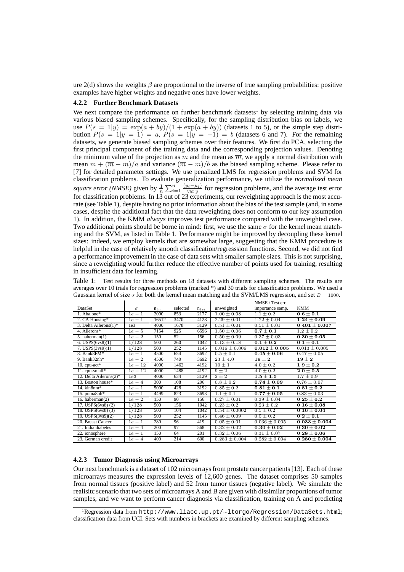ure 2(d) shows the weights  $\beta$  are proportional to the inverse of true sampling probabilities: positive examples have higher weights and negative ones have lower weights.

# **4.2.2 Further Benchmark Datasets**

We next compare the performance on further benchmark datasets<sup>1</sup> by selecting training data via various biased sampling schemes. Specifically, for the sampling distribution bias on labels, we use  $P(s = 1|y) = \exp(a + by)/(1 + \exp(a + by))$  (datasets 1 to 5), or the simple step distribution  $P(s = 1|y = 1) = a$ ,  $P(s = 1|y = -1) = b$  (datasets 6 and 7). For the remaining datasets, we generate biased sampling schemes over their features. We first do PCA, selecting the first principal component of the training data and the corresponding projection values. Denoting the minimum value of the projection as m and the mean as  $\overline{m}$ , we apply a normal distribution with mean  $m + (\overline{m} - m)/a$  and variance  $(\overline{m} - m)/b$  as the biased sampling scheme. Please refer to [7] for detailed parameter settings. We use penalized LMS for regression problems and SVM for classification problems. To evaluate generalization performance, we utilize the *normalized mean square error (NMSE)* given by  $\frac{1}{n} \sum_{i=1}^{n} \frac{(y_i - \mu_i)}{\text{var }y}$  for regression problems, and the average test error for classification problems. In 13 out of 23 experiments, our reweighting approach is the most accurate (see Table 1), despite having no prior information about the bias of the test sample (and, in some cases, despite the additional fact that the data reweighting does not conform to our key assumption 1). In addition, the KMM *always* improves test performance compared with the unweighted case. Two additional points should be borne in mind: first, we use the same  $\sigma$  for the kernel mean matching and the SVM, as listed in Table 1. Performance might be improved by decoupling these kernel sizes: indeed, we employ kernels that are somewhat large, suggesting that the KMM procedure is helpful in the case of relatively smooth classification/regresssion functions. Second, we did not find a performance improvement in the case of data sets with smaller sample sizes. This is not surprising, since a reweighting would further reduce the effective number of points used for training, resulting in insufficient data for learning.

Table 1: Test results for three methods on 18 datasets with different sampling schemes. The results are averages over 10 trials for regression problems (marked \*) and 30 trials for classification problems. We used a Gaussian kernel of size  $\sigma$  for both the kernel mean matching and the SVM/LMS regression, and set  $B = 1000$ .

|                           |                 |          |          |           |                   | NMSE / Test err.  |                   |
|---------------------------|-----------------|----------|----------|-----------|-------------------|-------------------|-------------------|
| DataSet                   | $\sigma$        | $n_{tr}$ | selected | $n_{tst}$ | unweighted        | importance samp.  | <b>KMM</b>        |
| 1. Abalone*               | $1e-1$          | 2000     | 853      | 2177      | $1.00 \pm 0.08$   | $1.1 \pm 0.2$     | $0.6 \pm 0.1$     |
| 2. CA Housing*            | $1e-1$          | 16512    | 3470     | 4128      | $2.29 \pm 0.01$   | $1.72 \pm 0.04$   | $1.24 \pm 0.09$   |
| 3. Delta Ailerons $(1)^*$ | 1e <sub>3</sub> | 4000     | 1678     | 3129      | $0.51 \pm 0.01$   | $0.51 \pm 0.01$   | $0.401 \pm 0.007$ |
| 4. Ailerons*              | $1e-5$          | 7154     | 925      | 6596      | $1.50 \pm 0.06$   | $0.7 \pm 0.1$     | $1.2 \pm 0.2$     |
| 5. haberman(1)            | $1e-2$          | 150      | 52       | 156       | $0.50 \pm 0.09$   | $0.37 \pm 0.03$   | $0.30 \pm 0.05$   |
| 6. USPS $(6vs8)(1)$       | 1/128           | 500      | 260      | 1042      | $0.13 \pm 0.18$   | $0.1 \pm 0.2$     | $0.1 \pm 0.1$     |
| 7. $USPS(3\vee s9)(1)$    | 1/128           | 500      | 252      | 1145      | $0.016 \pm 0.006$ | $0.012 \pm 0.005$ | $0.013 \pm 0.005$ |
| 8. Bank8FM*               | $1e-1$          | 4500     | 654      | 3692      | $0.5 \pm 0.1$     | $0.45 \pm 0.06$   | $0.47 \pm 0.05$   |
| 9. Bank $32nh*$           | $1e-2$          | 4500     | 740      | 3692      | $23 \pm 4.0$      | $19 \pm 2$        | ${\bf 19 \pm 2}$  |
| 10. $cpu-act*$            | $1e-12$         | 4000     | 1462     | 4192      | $10 \pm 1$        | $4.0 \pm 0.2$     | $1.9 \pm 0.2$     |
| 11. cpu-small*            | $1e-12$         | 4000     | 1488     | 4192      | $9 \pm 2$         | $4.0 \pm 0.2$     | $2.0 \pm 0.5$     |
| 12. Delta Ailerons(2)*    | 1e3             | 4000     | 634      | 3129      | $2 \pm 2$         | $1.5 \pm 1.5$     | $1.7 \pm 0.9$     |
| 13. Boston house*         | $1e-4$          | 300      | 108      | 206       | $0.8 \pm 0.2$     | $0.74 \pm 0.09$   | $0.76 \pm 0.07$   |
| 14. $\text{kin8nm*}$      | $1e-1$          | 5000     | 428      | 3192      | $0.85 \pm 0.2$    | $0.81 \pm 0.1$    | $0.81 \pm 0.2$    |
| 15. puma $8nh*$           | $1e-1$          | 4499     | 823      | 3693      | $1.1 \pm 0.1$     | $0.77 \pm 0.05$   | $0.83 \pm 0.03$   |
| 16. haberman $(2)$        | $1e-2$          | 150      | 90       | 156       | $0.27 \pm 0.01$   | $0.39 \pm 0.04$   | $0.25\pm0.2$      |
| 17. USPS(6vs8)(2)         | 1/128           | 500      | 156      | 1042      | $0.23 \pm 0.2$    | $0.23 \pm 0.2$    | $0.16 \pm 0.08$   |
| 18. USPS(6vs8)(3)         | 1/128           | 500      | 104      | 1042      | $0.54 \pm 0.0002$ | $0.5 \pm 0.2$     | $0.16 \pm 0.04$   |
| 19. USPS(3vs9)(2)         | 1/128           | 500      | 252      | 1145      | $0.46 \pm 0.09$   | $0.5 \pm 0.2$     | $0.2 \pm 0.1$     |
| 20. Breast Cancer         | $1e-1$          | 280      | 96       | 419       | $0.05 \pm 0.01$   | $0.036 \pm 0.005$ | $0.033 \pm 0.004$ |
| 21. India diabetes        | $1e-4$          | 200      | 97       | 568       | $0.32 \pm 0.02$   | $0.30 \pm 0.02$   | $0.30 \pm 0.02$   |
| 22. ionosphere            | $1e-1$          | 150      | 64       | 201       | $0.32 \pm 0.06$   | $0.31 \pm 0.07$   | $0.28 \pm 0.06$   |
| 23. German credit         | $1e-4$          | 400      | 214      | 600       | $0.283 \pm 0.004$ | $0.282 \pm 0.004$ | $0.280 \pm 0.004$ |

#### **4.2.3 Tumor Diagnosis using Microarrays**

Our next benchmark is a dataset of 102 microarrays from prostate cancer patients [13]. Each of these microarrays measures the expression levels of 12,600 genes. The dataset comprises 50 samples from normal tissues (positive label) and 52 from tumor tissues (negative label). We simulate the realisitc scenario that two sets of microarrays A and B are given with dissimilar proportions of tumor samples, and we want to perform cancer diagnosis via classification, training on A and predicting

<sup>1</sup>Regression data from http://www.liacc.up.pt/∼ltorgo/Regression/DataSets.html; classification data from UCI. Sets with numbers in brackets are examined by different sampling schemes.